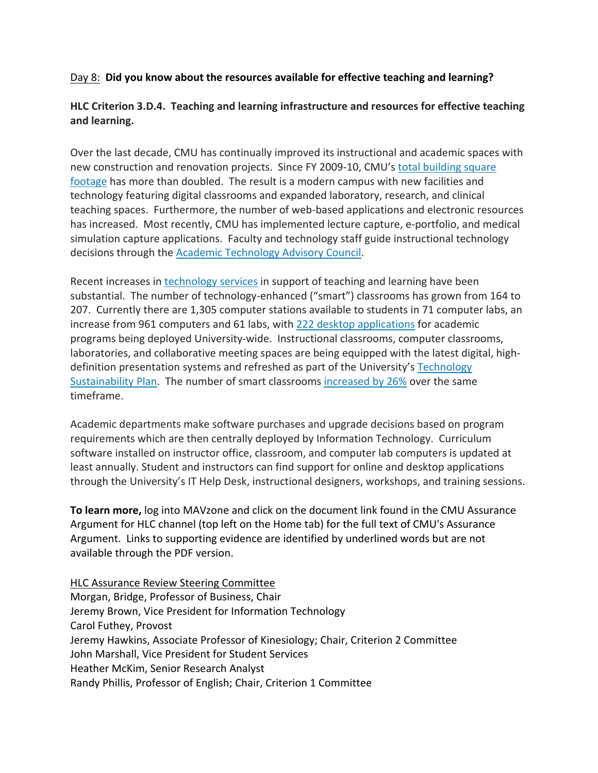## Day 8: **Did you know about the resources available for effective teaching and learning?**

## **HLC Criterion 3.D.4. Teaching and learning infrastructure and resources for effective teaching and learning.**

Over the last decade, CMU has continually improved its instructional and academic spaces with new construction and renovation projects. Since FY 2009‐10, CMU's total building square footage has more than doubled. The result is a modern campus with new facilities and technology featuring digital classrooms and expanded laboratory, research, and clinical teaching spaces. Furthermore, the number of web‐based applications and electronic resources has increased. Most recently, CMU has implemented lecture capture, e-portfolio, and medical simulation capture applications. Faculty and technology staff guide instructional technology decisions through the **Academic Technology Advisory Council.** 

Recent increases in technology services in support of teaching and learning have been substantial. The number of technology‐enhanced ("smart") classrooms has grown from 164 to 207. Currently there are 1,305 computer stations available to students in 71 computer labs, an increase from 961 computers and 61 labs, with 222 desktop applications for academic programs being deployed University‐wide. Instructional classrooms, computer classrooms, laboratories, and collaborative meeting spaces are being equipped with the latest digital, highdefinition presentation systems and refreshed as part of the University's Technology Sustainability Plan. The number of smart classrooms increased by 26% over the same timeframe.

Academic departments make software purchases and upgrade decisions based on program requirements which are then centrally deployed by Information Technology. Curriculum software installed on instructor office, classroom, and computer lab computers is updated at least annually. Student and instructors can find support for online and desktop applications through the University's IT Help Desk, instructional designers, workshops, and training sessions.

**To learn more,** log into MAVzone and click on the document link found in the CMU Assurance Argument for HLC channel (top left on the Home tab) for the full text of CMU's Assurance Argument. Links to supporting evidence are identified by underlined words but are not available through the PDF version.

HLC Assurance Review Steering Committee Morgan, Bridge, Professor of Business, Chair Jeremy Brown, Vice President for Information Technology Carol Futhey, Provost Jeremy Hawkins, Associate Professor of Kinesiology; Chair, Criterion 2 Committee John Marshall, Vice President for Student Services Heather McKim, Senior Research Analyst Randy Phillis, Professor of English; Chair, Criterion 1 Committee